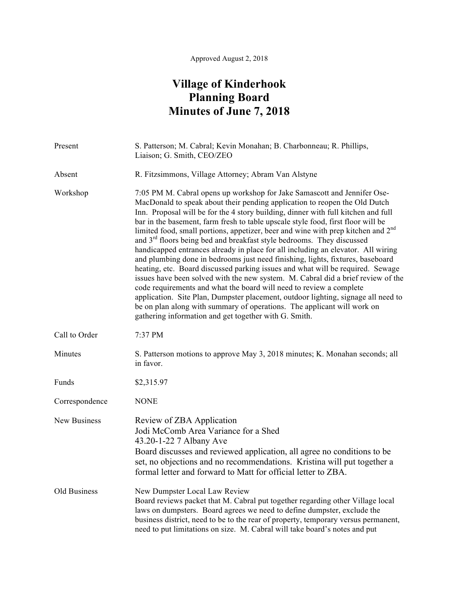## **Village of Kinderhook Planning Board Minutes of June 7, 2018**

| Present        | S. Patterson; M. Cabral; Kevin Monahan; B. Charbonneau; R. Phillips,<br>Liaison; G. Smith, CEO/ZEO                                                                                                                                                                                                                                                                                                                                                                                                                                                                                                                                                                                                                                                                                                                                                                                                                                                                                                                                                                                                                                                               |
|----------------|------------------------------------------------------------------------------------------------------------------------------------------------------------------------------------------------------------------------------------------------------------------------------------------------------------------------------------------------------------------------------------------------------------------------------------------------------------------------------------------------------------------------------------------------------------------------------------------------------------------------------------------------------------------------------------------------------------------------------------------------------------------------------------------------------------------------------------------------------------------------------------------------------------------------------------------------------------------------------------------------------------------------------------------------------------------------------------------------------------------------------------------------------------------|
| Absent         | R. Fitzsimmons, Village Attorney; Abram Van Alstyne                                                                                                                                                                                                                                                                                                                                                                                                                                                                                                                                                                                                                                                                                                                                                                                                                                                                                                                                                                                                                                                                                                              |
| Workshop       | 7:05 PM M. Cabral opens up workshop for Jake Samascott and Jennifer Ose-<br>MacDonald to speak about their pending application to reopen the Old Dutch<br>Inn. Proposal will be for the 4 story building, dinner with full kitchen and full<br>bar in the basement, farm fresh to table upscale style food, first floor will be<br>limited food, small portions, appetizer, beer and wine with prep kitchen and 2 <sup>nd</sup><br>and 3 <sup>rd</sup> floors being bed and breakfast style bedrooms. They discussed<br>handicapped entrances already in place for all including an elevator. All wiring<br>and plumbing done in bedrooms just need finishing, lights, fixtures, baseboard<br>heating, etc. Board discussed parking issues and what will be required. Sewage<br>issues have been solved with the new system. M. Cabral did a brief review of the<br>code requirements and what the board will need to review a complete<br>application. Site Plan, Dumpster placement, outdoor lighting, signage all need to<br>be on plan along with summary of operations. The applicant will work on<br>gathering information and get together with G. Smith. |
| Call to Order  | 7:37 PM                                                                                                                                                                                                                                                                                                                                                                                                                                                                                                                                                                                                                                                                                                                                                                                                                                                                                                                                                                                                                                                                                                                                                          |
| Minutes        | S. Patterson motions to approve May 3, 2018 minutes; K. Monahan seconds; all<br>in favor.                                                                                                                                                                                                                                                                                                                                                                                                                                                                                                                                                                                                                                                                                                                                                                                                                                                                                                                                                                                                                                                                        |
| Funds          | \$2,315.97                                                                                                                                                                                                                                                                                                                                                                                                                                                                                                                                                                                                                                                                                                                                                                                                                                                                                                                                                                                                                                                                                                                                                       |
| Correspondence | <b>NONE</b>                                                                                                                                                                                                                                                                                                                                                                                                                                                                                                                                                                                                                                                                                                                                                                                                                                                                                                                                                                                                                                                                                                                                                      |
| New Business   | Review of ZBA Application<br>Jodi McComb Area Variance for a Shed<br>43.20-1-22 7 Albany Ave<br>Board discusses and reviewed application, all agree no conditions to be<br>set, no objections and no recommendations. Kristina will put together a<br>formal letter and forward to Matt for official letter to ZBA.                                                                                                                                                                                                                                                                                                                                                                                                                                                                                                                                                                                                                                                                                                                                                                                                                                              |
| Old Business   | New Dumpster Local Law Review<br>Board reviews packet that M. Cabral put together regarding other Village local<br>laws on dumpsters. Board agrees we need to define dumpster, exclude the<br>business district, need to be to the rear of property, temporary versus permanent,<br>need to put limitations on size. M. Cabral will take board's notes and put                                                                                                                                                                                                                                                                                                                                                                                                                                                                                                                                                                                                                                                                                                                                                                                                   |